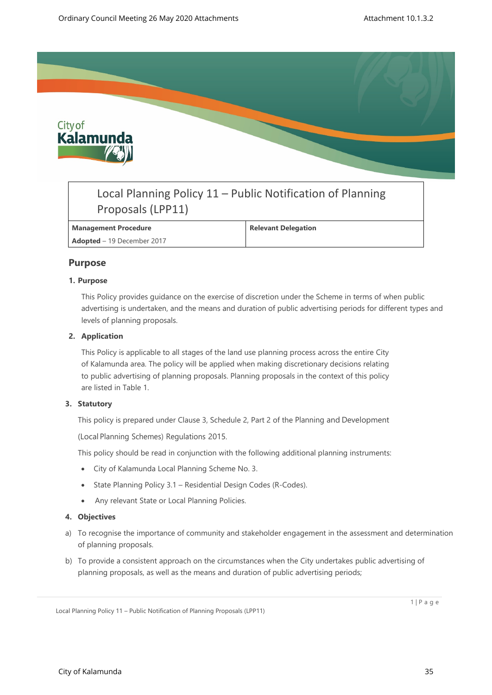

# Local Planning Policy 11 – Public Notification of Planning Proposals (LPP11)

# **Management Procedure Relevant Delegation**

**Adopted** – 19 December 2017

# **Purpose**

# **1. Purpose**

This Policy provides guidance on the exercise of discretion under the Scheme in terms of when public advertising is undertaken, and the means and duration of public advertising periods for different types and levels of planning proposals.

# **2. Application**

This Policy is applicable to all stages of the land use planning process across the entire City of Kalamunda area. The policy will be applied when making discretionary decisions relating to public advertising of planning proposals. Planning proposals in the context of this policy are listed in Table 1.

# **3. Statutory**

This policy is prepared under Clause 3, Schedule 2, Part 2 of the Planning and Development

(Local Planning Schemes) Regulations 2015.

This policy should be read in conjunction with the following additional planning instruments:

- City of Kalamunda Local Planning Scheme No. 3.
- State Planning Policy 3.1 Residential Design Codes (R-Codes).
- Any relevant State or Local Planning Policies.

## **4. Objectives**

- a) To recognise the importance of community and stakeholder engagement in the assessment and determination of planning proposals.
- b) To provide a consistent approach on the circumstances when the City undertakes public advertising of planning proposals, as well as the means and duration of public advertising periods;

1 | P a g e

Local Planning Policy 11 – Public Notification of Planning Proposals (LPP11)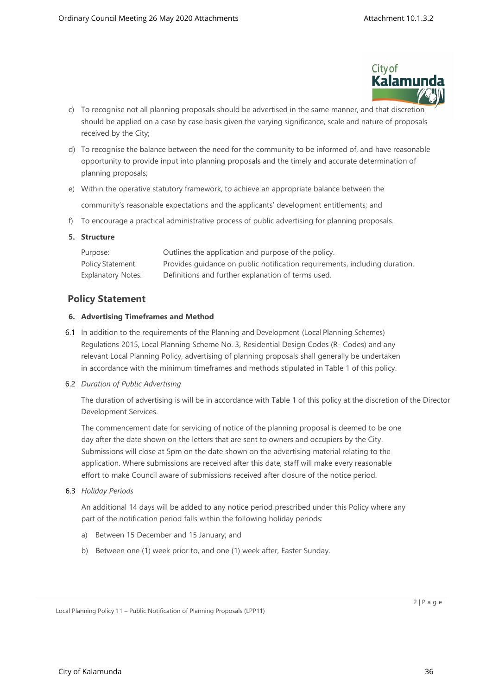

- c) To recognise not all planning proposals should be advertised in the same manner, and that discretion should be applied on a case by case basis given the varying significance, scale and nature of proposals received by the City;
- d) To recognise the balance between the need for the community to be informed of, and have reasonable opportunity to provide input into planning proposals and the timely and accurate determination of planning proposals;
- e) Within the operative statutory framework, to achieve an appropriate balance between the community's reasonable expectations and the applicants' development entitlements; and
- f) To encourage a practical administrative process of public advertising for planning proposals.

# **5. Structure**

| Purpose:           | Outlines the application and purpose of the policy.                        |
|--------------------|----------------------------------------------------------------------------|
| Policy Statement:  | Provides quidance on public notification requirements, including duration. |
| Explanatory Notes: | Definitions and further explanation of terms used.                         |

# **Policy Statement**

# **6. Advertising Timeframes and Method**

6.1 In addition to the requirements of the Planning and Development (Local Planning Schemes) Regulations 2015, Local Planning Scheme No. 3, Residential Design Codes (R- Codes) and any relevant Local Planning Policy, advertising of planning proposals shall generally be undertaken in accordance with the minimum timeframes and methods stipulated in Table 1 of this policy.

## 6.2 *Duration of Public Advertising*

The duration of advertising is will be in accordance with Table 1 of this policy at the discretion of the Director Development Services.

The commencement date for servicing of notice of the planning proposal is deemed to be one day after the date shown on the letters that are sent to owners and occupiers by the City. Submissions will close at 5pm on the date shown on the advertising material relating to the application. Where submissions are received after this date, staff will make every reasonable effort to make Council aware of submissions received after closure of the notice period.

## 6.3 *Holiday Periods*

An additional 14 days will be added to any notice period prescribed under this Policy where any part of the notification period falls within the following holiday periods:

- a) Between 15 December and 15 January; and
- b) Between one (1) week prior to, and one (1) week after, Easter Sunday.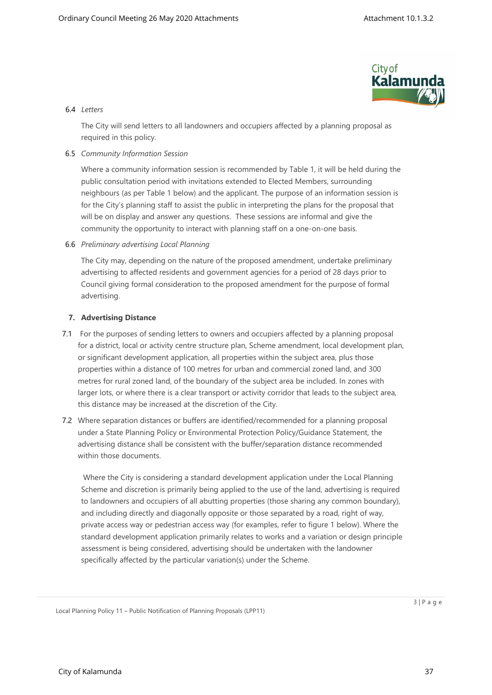

# 6.4 *Letters*

The City will send letters to all landowners and occupiers affected by a planning proposal as required in this policy.

# 6.5 *Community Information Session*

Where a community information session is recommended by Table 1, it will be held during the public consultation period with invitations extended to Elected Members, surrounding neighbours (as per Table 1 below) and the applicant. The purpose of an information session is for the City's planning staff to assist the public in interpreting the plans for the proposal that will be on display and answer any questions. These sessions are informal and give the community the opportunity to interact with planning staff on a one-on-one basis.

6.6 *Preliminary advertising Local Planning* 

The City may, depending on the nature of the proposed amendment, undertake preliminary advertising to affected residents and government agencies for a period of 28 days prior to Council giving formal consideration to the proposed amendment for the purpose of formal advertising.

# **7. Advertising Distance**

- 7.1 For the purposes of sending letters to owners and occupiers affected by a planning proposal for a district, local or activity centre structure plan, Scheme amendment, local development plan, or significant development application, all properties within the subject area, plus those properties within a distance of 100 metres for urban and commercial zoned land, and 300 metres for rural zoned land, of the boundary of the subject area be included. In zones with larger lots, or where there is a clear transport or activity corridor that leads to the subject area, this distance may be increased at the discretion of the City.
- 7.2 Where separation distances or buffers are identified/recommended for a planning proposal under a State Planning Policy or Environmental Protection Policy/Guidance Statement, the advertising distance shall be consistent with the buffer/separation distance recommended within those documents.

 Where the City is considering a standard development application under the Local Planning Scheme and discretion is primarily being applied to the use of the land, advertising is required to landowners and occupiers of all abutting properties (those sharing any common boundary), and including directly and diagonally opposite or those separated by a road, right of way, private access way or pedestrian access way (for examples, refer to figure 1 below). Where the standard development application primarily relates to works and a variation or design principle assessment is being considered, advertising should be undertaken with the landowner specifically affected by the particular variation(s) under the Scheme.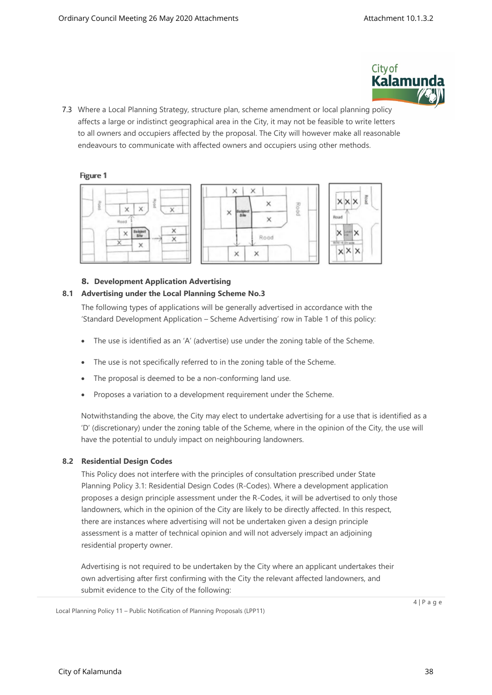

7.3 Where a Local Planning Strategy, structure plan, scheme amendment or local planning policy affects a large or indistinct geographical area in the City, it may not be feasible to write letters to all owners and occupiers affected by the proposal. The City will however make all reasonable endeavours to communicate with affected owners and occupiers using other methods.

# Figure 1





Rootd

# **8. Development Application Advertising**

# **8.1 Advertising under the Local Planning Scheme No.3**

The following types of applications will be generally advertised in accordance with the 'Standard Development Application – Scheme Advertising' row in Table 1 of this policy:

- The use is identified as an 'A' (advertise) use under the zoning table of the Scheme.
- The use is not specifically referred to in the zoning table of the Scheme.
- The proposal is deemed to be a non-conforming land use.
- Proposes a variation to a development requirement under the Scheme.

Notwithstanding the above, the City may elect to undertake advertising for a use that is identified as a 'D' (discretionary) under the zoning table of the Scheme, where in the opinion of the City, the use will have the potential to unduly impact on neighbouring landowners.

# **8.2 Residential Design Codes**

This Policy does not interfere with the principles of consultation prescribed under State Planning Policy 3.1: Residential Design Codes (R-Codes). Where a development application proposes a design principle assessment under the R-Codes, it will be advertised to only those landowners, which in the opinion of the City are likely to be directly affected. In this respect, there are instances where advertising will not be undertaken given a design principle assessment is a matter of technical opinion and will not adversely impact an adjoining residential property owner.

Advertising is not required to be undertaken by the City where an applicant undertakes their own advertising after first confirming with the City the relevant affected landowners, and submit evidence to the City of the following:

Local Planning Policy 11 – Public Notification of Planning Proposals (LPP11)

 $4 | P a q e$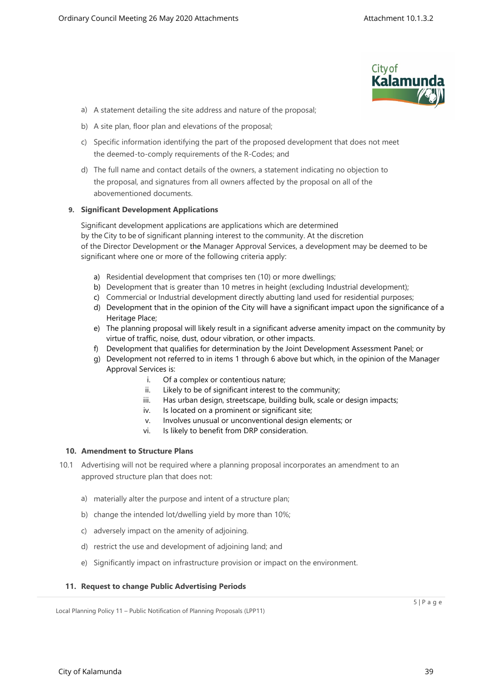

- a) A statement detailing the site address and nature of the proposal;
- b) A site plan, floor plan and elevations of the proposal;
- c) Specific information identifying the part of the proposed development that does not meet the deemed-to-comply requirements of the R-Codes; and
- d) The full name and contact details of the owners, a statement indicating no objection to the proposal, and signatures from all owners affected by the proposal on all of the abovementioned documents.

# **9. Significant Development Applications**

Significant development applications are applications which are determined by the City to be of significant planning interest to the community. At the discretion of the Director Development or the Manager Approval Services, a development may be deemed to be significant where one or more of the following criteria apply:

- a) Residential development that comprises ten (10) or more dwellings;
- b) Development that is greater than 10 metres in height (excluding Industrial development);
- c) Commercial or Industrial development directly abutting land used for residential purposes;
- d) Development that in the opinion of the City will have a significant impact upon the significance of a Heritage Place;
- e) The planning proposal will likely result in a significant adverse amenity impact on the community by virtue of traffic, noise, dust, odour vibration, or other impacts.
- f) Development that qualifies for determination by the Joint Development Assessment Panel; or
- g) Development not referred to in items 1 through 6 above but which, in the opinion of the Manager Approval Services is:
	- i. Of a complex or contentious nature;
	- ii. Likely to be of significant interest to the community;
	- iii. Has urban design, streetscape, building bulk, scale or design impacts;
	- iv. Is located on a prominent or significant site;
	- v. Involves unusual or unconventional design elements; or
	- vi. Is likely to benefit from DRP consideration.

# **10. Amendment to Structure Plans**

- 10.1 Advertising will not be required where a planning proposal incorporates an amendment to an approved structure plan that does not:
	- a) materially alter the purpose and intent of a structure plan;
	- b) change the intended lot/dwelling yield by more than 10%;
	- c) adversely impact on the amenity of adjoining.
	- d) restrict the use and development of adjoining land; and
	- e) Significantly impact on infrastructure provision or impact on the environment.

## **11. Request to change Public Advertising Periods**

Local Planning Policy 11 – Public Notification of Planning Proposals (LPP11)

 $5 | P a q e$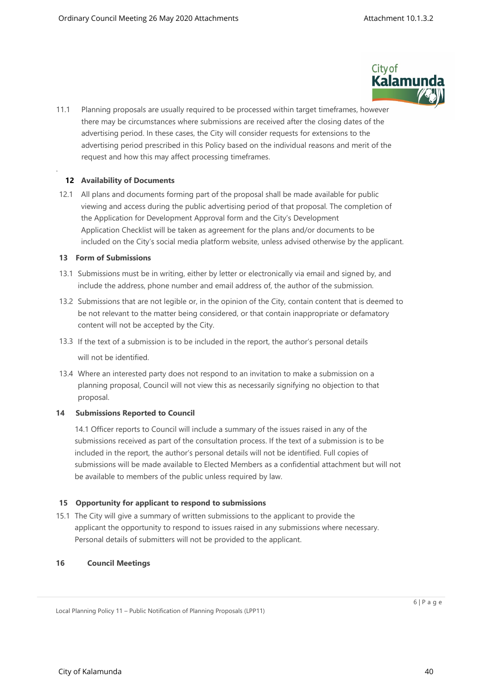

11.1 Planning proposals are usually required to be processed within target timeframes, however there may be circumstances where submissions are received after the closing dates of the advertising period. In these cases, the City will consider requests for extensions to the advertising period prescribed in this Policy based on the individual reasons and merit of the request and how this may affect processing timeframes.

# **12 Availability of Documents**

.

12.1 All plans and documents forming part of the proposal shall be made available for public viewing and access during the public advertising period of that proposal. The completion of the Application for Development Approval form and the City's Development Application Checklist will be taken as agreement for the plans and/or documents to be included on the City's social media platform website, unless advised otherwise by the applicant.

## **13 Form of Submissions**

- 13.1 Submissions must be in writing, either by letter or electronically via email and signed by, and include the address, phone number and email address of, the author of the submission.
- 13.2 Submissions that are not legible or, in the opinion of the City, contain content that is deemed to be not relevant to the matter being considered, or that contain inappropriate or defamatory content will not be accepted by the City.
- 13.3 If the text of a submission is to be included in the report, the author's personal details will not be identified.
- 13.4 Where an interested party does not respond to an invitation to make a submission on a planning proposal, Council will not view this as necessarily signifying no objection to that proposal.

## **14 Submissions Reported to Council**

14.1 Officer reports to Council will include a summary of the issues raised in any of the submissions received as part of the consultation process. If the text of a submission is to be included in the report, the author's personal details will not be identified. Full copies of submissions will be made available to Elected Members as a confidential attachment but will not be available to members of the public unless required by law.

## **15 Opportunity for applicant to respond to submissions**

15.1 The City will give a summary of written submissions to the applicant to provide the applicant the opportunity to respond to issues raised in any submissions where necessary. Personal details of submitters will not be provided to the applicant.

## **16 Council Meetings**

Local Planning Policy 11 – Public Notification of Planning Proposals (LPP11)

 $6 | P a q e$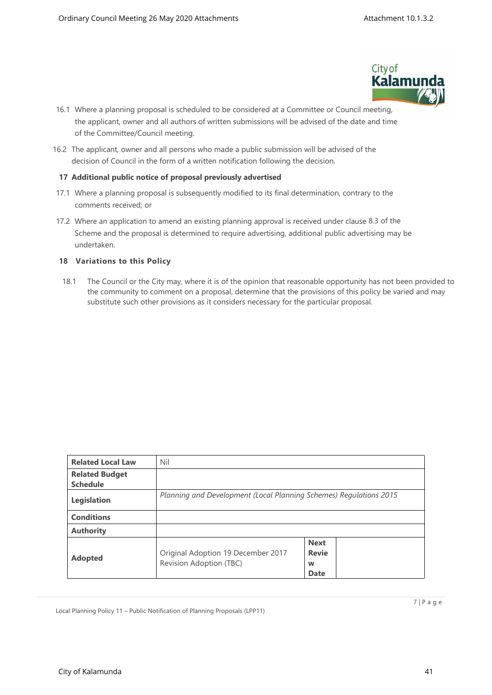

- 16.1 Where a planning proposal is scheduled to be considered at a Committee or Council meeting, the applicant, owner and all authors of written submissions will be advised of the date and time of the Committee/Council meeting.
- 16.2 The applicant, owner and all persons who made a public submission will be advised of the decision of Council in the form of a written notification following the decision.

# **17 Additional public notice of proposal previously advertised**

- 17.1 Where a planning proposal is subsequently modified to its final determination, contrary to the comments received; or
- 17.2 Where an application to amend an existing planning approval is received under clause 8.3 of the Scheme and the proposal is determined to require advertising, additional public advertising may be undertaken.

# **18 Variations to this Policy**

18.1 The Council or the City may, where it is of the opinion that reasonable opportunity has not been provided to the community to comment on a proposal, determine that the provisions of this policy be varied and may substitute such other provisions as it considers necessary for the particular proposal.

| <b>Related Local Law</b> | Nil                                                                |                                                 |  |  |  |  |  |
|--------------------------|--------------------------------------------------------------------|-------------------------------------------------|--|--|--|--|--|
| <b>Related Budget</b>    |                                                                    |                                                 |  |  |  |  |  |
| <b>Schedule</b>          |                                                                    |                                                 |  |  |  |  |  |
| Legislation              | Planning and Development (Local Planning Schemes) Regulations 2015 |                                                 |  |  |  |  |  |
| <b>Conditions</b>        |                                                                    |                                                 |  |  |  |  |  |
| <b>Authority</b>         |                                                                    |                                                 |  |  |  |  |  |
| <b>Adopted</b>           | Original Adoption 19 December 2017<br>Revision Adoption (TBC)      | <b>Next</b><br><b>Revie</b><br>W<br><b>Date</b> |  |  |  |  |  |

Local Planning Policy 11 – Public Notification of Planning Proposals (LPP11)

7 | P a g e